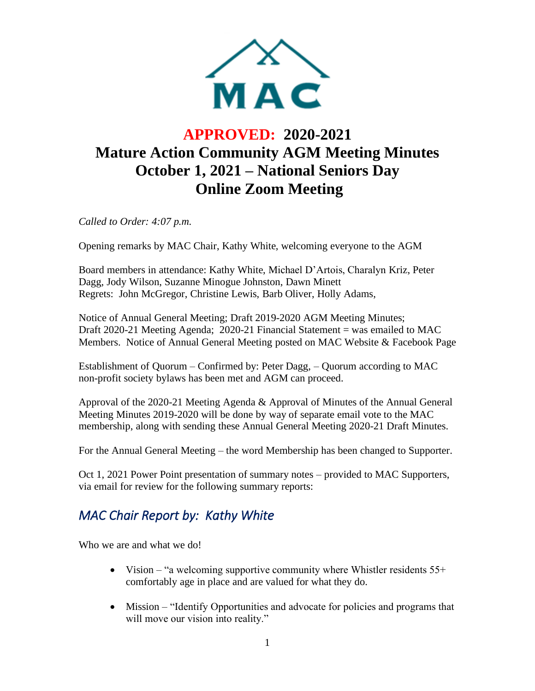

# **APPROVED: 2020-2021 Mature Action Community AGM Meeting Minutes October 1, 2021 – National Seniors Day Online Zoom Meeting**

*Called to Order: 4:07 p.m.*

Opening remarks by MAC Chair, Kathy White, welcoming everyone to the AGM

Board members in attendance: Kathy White, Michael D'Artois, Charalyn Kriz, Peter Dagg, Jody Wilson, Suzanne Minogue Johnston, Dawn Minett Regrets: John McGregor, Christine Lewis, Barb Oliver, Holly Adams,

Notice of Annual General Meeting; Draft 2019-2020 AGM Meeting Minutes; Draft 2020-21 Meeting Agenda; 2020-21 Financial Statement = was emailed to MAC Members. Notice of Annual General Meeting posted on MAC Website & Facebook Page

Establishment of Quorum – Confirmed by: Peter Dagg, – Quorum according to MAC non-profit society bylaws has been met and AGM can proceed.

Approval of the 2020-21 Meeting Agenda & Approval of Minutes of the Annual General Meeting Minutes 2019-2020 will be done by way of separate email vote to the MAC membership, along with sending these Annual General Meeting 2020-21 Draft Minutes.

For the Annual General Meeting – the word Membership has been changed to Supporter.

Oct 1, 2021 Power Point presentation of summary notes – provided to MAC Supporters, via email for review for the following summary reports:

### *MAC Chair Report by: Kathy White*

Who we are and what we do!

- Vision "a welcoming supportive community where Whistler residents 55+ comfortably age in place and are valued for what they do.
- Mission "Identify Opportunities and advocate for policies and programs that will move our vision into reality."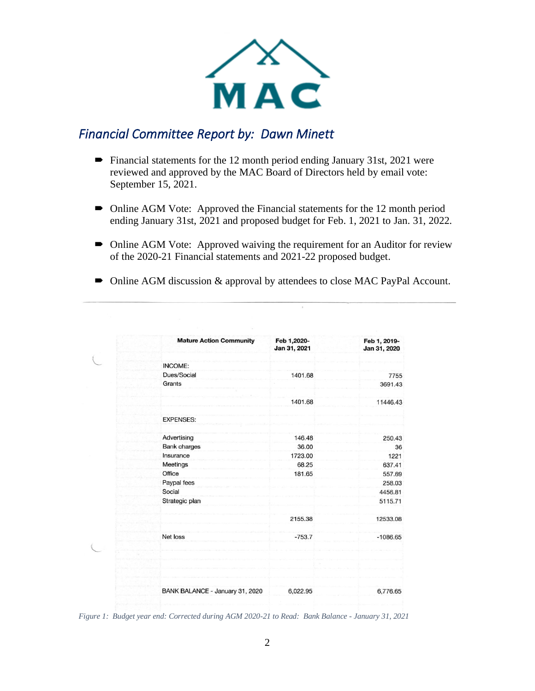

#### *Financial Committee Report by: Dawn Minett*

- $\blacktriangleright$  Financial statements for the 12 month period ending January 31st, 2021 were reviewed and approved by the MAC Board of Directors held by email vote: September 15, 2021.
- Online AGM Vote: Approved the Financial statements for the 12 month period ending January 31st, 2021 and proposed budget for Feb. 1, 2021 to Jan. 31, 2022.
- Online AGM Vote: Approved waiving the requirement for an Auditor for review of the 2020-21 Financial statements and 2021-22 proposed budget.
- Online AGM discussion & approval by attendees to close MAC PayPal Account.

| <b>Mature Action Community</b>  | Feb 1,2020-<br>Jan 31, 2021 | Feb 1, 2019-<br>Jan 31, 2020 |
|---------------------------------|-----------------------------|------------------------------|
| INCOME:                         |                             |                              |
| Dues/Social                     | 1401.68                     | 7755                         |
| Grants                          |                             | 3691.43                      |
|                                 | 1401.68                     | 11446.43                     |
| <b>EXPENSES:</b>                |                             |                              |
| Advertising                     | 146.48                      | 250.43                       |
| <b>Bank charges</b>             | 36.00                       | 36                           |
| Insurance                       | 1723.00                     | 1221                         |
| Meetings                        | 68.25                       | 637.41                       |
| Office                          | 181.65                      | 557.69                       |
| Paypal fees                     |                             | 258.03                       |
| Social                          |                             | 4456.81                      |
| Strategic plan                  |                             | 5115.71                      |
|                                 | 2155.38                     | 12533.08                     |
| Net loss                        | $-753.7$                    | $-1086.65$                   |
|                                 |                             |                              |
|                                 |                             |                              |
| BANK BALANCE - January 31, 2020 | 6,022.95                    | 6,776.65                     |

*Figure 1: Budget year end: Corrected during AGM 2020-21 to Read: Bank Balance - January 31, 2021*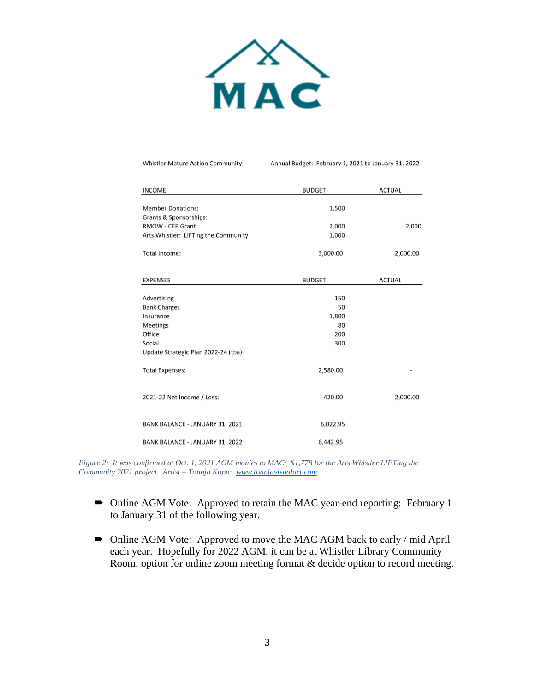

**Whistler Mature Action Community** 

Annual Budget: February 1, 2021 to January 31, 2022

| <b>INCOME</b>                        | <b>BUDGET</b> | <b>ACTUAL</b> |
|--------------------------------------|---------------|---------------|
| <b>Member Donations:</b>             | 1,500         |               |
| Grants & Sponsorships:               |               |               |
| <b>RMOW - CEP Grant</b>              | 2,000         | 2,000         |
| Arts Whistler: LIFTing the Community | 1,000         |               |
|                                      |               |               |
| Total Income:                        | 3,000.00      | 2,000.00      |
|                                      |               |               |
| <b>EXPENSES</b>                      | <b>BUDGET</b> | <b>ACTUAL</b> |
| Advertising                          | 150           |               |
|                                      | 50            |               |
| <b>Bank Charges</b>                  |               |               |
| Insurance                            | 1,800         |               |
| Meetings                             | 80            |               |
| Office                               | 200           |               |
| Social                               | 300           |               |
| Update Strategic Plan 2022-24 (tba)  |               |               |
| <b>Total Expenses:</b>               | 2,580.00      |               |
| 2021-22 Net Income / Loss:           | 420.00        | 2,000.00      |
| BANK BALANCE - JANUARY 31, 2021      | 6,022.95      |               |
| BANK BALANCE - JANUARY 31, 2022      | 6,442.95      |               |

*Figure 2: It was confirmed at Oct. 1, 2021 AGM monies to MAC: \$1,778 for the Arts Whistler LIFTing the Community 2021 project. Artist – Tonnja Kopp: [www.tonnjavisualart.com](http://www.tonnjavisualart.com/)*

- Online AGM Vote: Approved to retain the MAC year-end reporting: February 1 to January 31 of the following year.
- Online AGM Vote: Approved to move the MAC AGM back to early / mid April each year. Hopefully for 2022 AGM, it can be at Whistler Library Community Room, option for online zoom meeting format & decide option to record meeting.